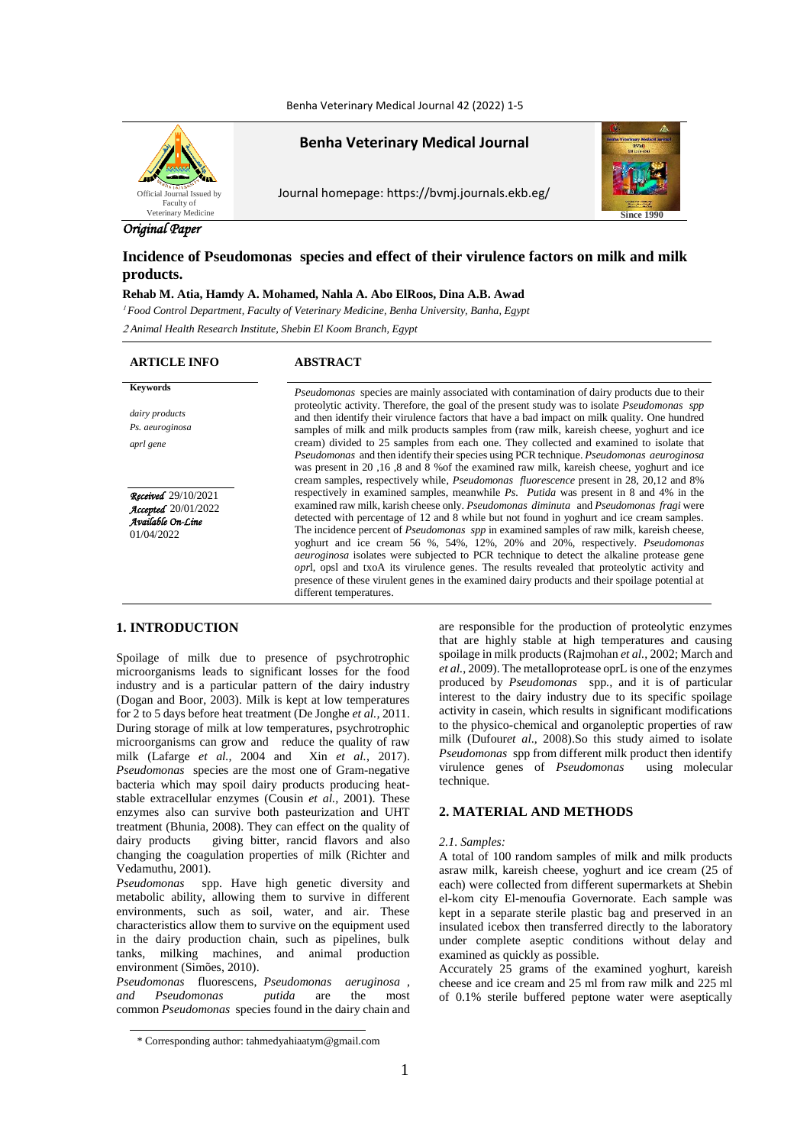Benha Veterinary Medical Journal 42 (2022) 1-5



**Benha Veterinary Medical Journal**

Journal homepage: https://bvmj.journals.ekb.eg/



# *Original Paper*

# **Incidence of Pseudomonas species and effect of their virulence factors on milk and milk products.**

# **Rehab M. Atia, Hamdy A. Mohamed, Nahla A. Abo ElRoos, Dina A.B. Awad**

<sup>1</sup> *Food Control Department, Faculty of Veterinary Medicine, Benha University, Banha, Egypt*

<sup>2</sup> *Animal Health Research Institute, Shebin El Koom Branch, Egypt*

#### **ARTICLE INFO ABSTRACT**

*dairy products Ps. aeuroginosa aprl gene Received*29/10/2021 *Accepted*20/01/2022

*Available On-Line* 01/04/2022

**Keywords** *Pseudomonas* species are mainly associated with contamination of dairy products due to their proteolytic activity. Therefore, the goal of the present study was to isolate *Pseudomonas spp*  and then identify their virulence factors that have a bad impact on milk quality. One hundred samples of milk and milk products samples from (raw milk, kareish cheese, yoghurt and ice cream) divided to 25 samples from each one. They collected and examined to isolate that *Pseudomonas* and then identify their species using PCR technique. *Pseudomonas aeuroginosa* was present in 20 ,16 ,8 and 8 %of the examined raw milk, kareish cheese, yoghurt and ice cream samples, respectively while, *Pseudomonas fluorescence* present in 28, 20,12 and 8% respectively in examined samples, meanwhile *Ps. Putida* was present in 8 and 4% in the examined raw milk, karish cheese only. *Pseudomonas diminuta* and *Pseudomonas fragi* were detected with percentage of 12 and 8 while but not found in yoghurt and ice cream samples. The incidence percent of *Pseudomonas spp* in examined samples of raw milk, kareish cheese, yoghurt and ice cream 56 %, 54%, 12%, 20% and 20%, respectively. *Pseudomonas aeuroginosa* isolates were subjected to PCR technique to detect the alkaline protease gene *opr*l, opsl and txoA its virulence genes. The results revealed that proteolytic activity and presence of these virulent genes in the examined dairy products and their spoilage potential at different temperatures.

# **1. INTRODUCTION**

Spoilage of milk due to presence of psychrotrophic microorganisms leads to significant losses for the food industry and is a particular pattern of the dairy industry [\(Dogan and Boor, 2003\)](https://www.ncbi.nlm.nih.gov/pmc/articles/PMC5682325/#B8). Milk is kept at low temperatures for 2 to 5 days before heat treatment [\(De Jonghe](https://www.ncbi.nlm.nih.gov/pmc/articles/PMC5682325/#B7) *et al.,* 2011. During storage of milk at low temperatures, psychrotrophic microorganisms can grow and reduce the quality of raw milk [\(Lafarge](https://www.ncbi.nlm.nih.gov/pmc/articles/PMC5682325/#B15) *et al.,* 2004 and Xin *et al.*[, 2017\)](https://www.ncbi.nlm.nih.gov/pmc/articles/PMC5682325/#B36). *Pseudomonas* species are the most one of Gram-negative bacteria which may spoil dairy products producing heatstable extracellular enzymes (Cousin *et al.,* 2001). These enzymes also can survive both pasteurization and UHT treatment (Bhunia, 2008). They can effect on the quality of dairy products giving bitter, rancid flavors and also changing the coagulation properties of milk (Richter and Vedamuthu, 2001).

*Pseudomonas* spp. Have high [genetic diversity](https://www.sciencedirect.com/topics/agricultural-and-biological-sciences/genetic-divergence) and metabolic ability, allowing them to survive in different environments, such as soil, water, and air. These characteristics allow them to survive on the equipment used in the dairy production chain, such as pipelines, bulk tanks, [milking machines,](https://www.sciencedirect.com/topics/agricultural-and-biological-sciences/milking-machines) and animal production environment [\(Simões, 2010\)](https://www.sciencedirect.com/science/article/pii/S0022030214008558#bib0125).

*[Pseudomonas](https://www.sciencedirect.com/topics/agricultural-and-biological-sciences/pseudomonas-fluorescens)* fluorescens, *[Pseudomonas aeruginosa ,](https://www.sciencedirect.com/topics/agricultural-and-biological-sciences/pseudomonas-aeruginosa) and [Pseudomonas putida](https://www.sciencedirect.com/topics/agricultural-and-biological-sciences/pseudomonas-putida)* are the most common *Pseudomonas* species found in the dairy chain and are responsible for the production of proteolytic enzymes

# **2. MATERIAL AND METHODS**

#### *2.1. Samples:*

A total of 100 random samples of milk and milk products asraw milk, kareish cheese, yoghurt and ice cream (25 of each) were collected from different supermarkets at Shebin el-kom city El-menoufia Governorate. Each sample was kept in a separate sterile plastic bag and preserved in an insulated icebox then transferred directly to the laboratory under complete aseptic conditions without delay and examined as quickly as possible.

Accurately 25 grams of the examined yoghurt, kareish cheese and ice cream and 25 ml from raw milk and 225 ml of 0.1% sterile buffered peptone water were aseptically

that are highly stable at high temperatures and causing spoilage in milk products [\(Rajmohan](https://www.sciencedirect.com/science/article/pii/S0022030214008558#bib0105) *et al.*, 2002; [March](https://www.sciencedirect.com/science/article/pii/S0022030214008558#bib0075) and *et al.*[, 2009\)](https://www.sciencedirect.com/science/article/pii/S0022030214008558#bib0075). The metalloprotease oprL is one of the enzymes produced by *Pseudomonas* spp*.,* and it is of particular interest to the dairy industry due to its specific spoilage activity in casein, which results in significant modifications to the physico-chemical and [organoleptic properties](https://www.sciencedirect.com/topics/food-science/organoleptic-property) of raw milk (Dufour*et al*[., 2008\)](https://www.sciencedirect.com/science/article/pii/S0022030214008558#bib0050).So this study aimed to isolate *Pseudomonas* spp from different milk product then identify virulence genes of *Pseudomonas* using molecular technique.

<sup>\*</sup> Corresponding author: tahmedyahiaatym@gmail.com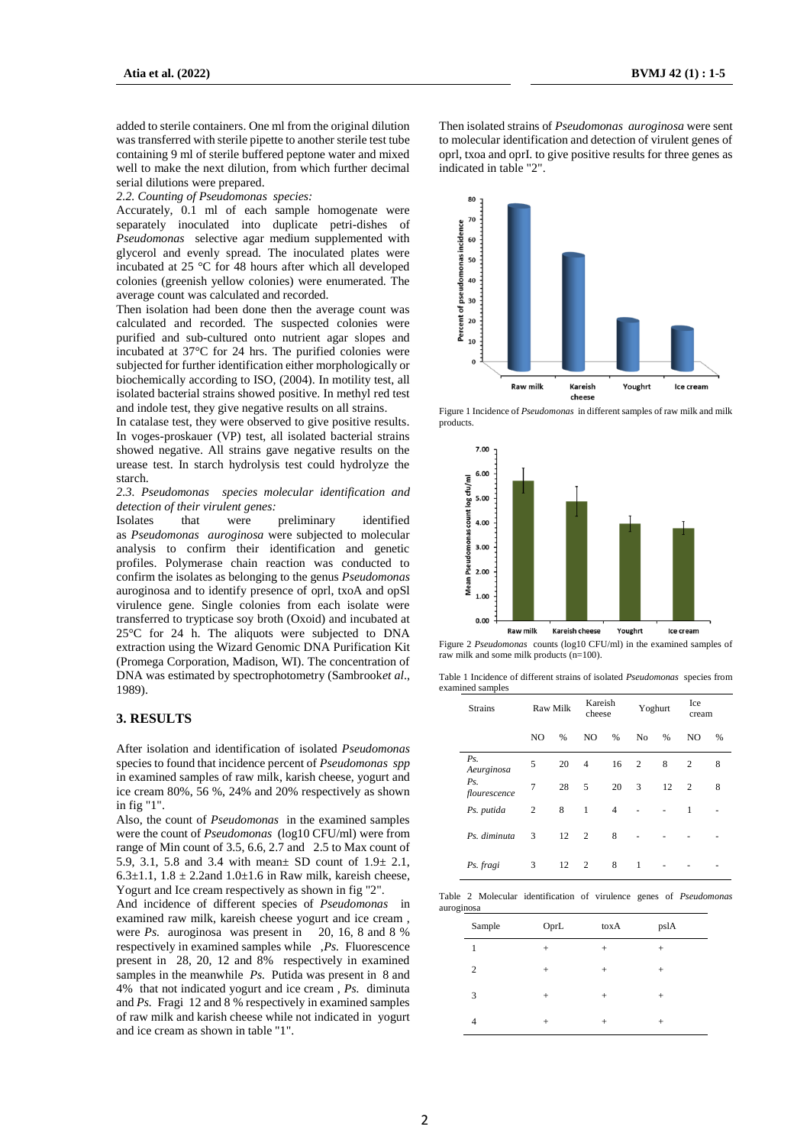added to sterile containers. One ml from the original dilution was transferred with sterile pipette to another sterile test tube containing 9 ml of sterile buffered peptone water and mixed well to make the next dilution, from which further decimal serial dilutions were prepared.

*2.2. Counting of Pseudomonas species:*

Accurately, 0.1 ml of each sample homogenate were separately inoculated into duplicate petri-dishes of *Pseudomonas* selective agar medium supplemented with glycerol and evenly spread. The inoculated plates were incubated at 25 °C for 48 hours after which all developed colonies (greenish yellow colonies) were enumerated. The average count was calculated and recorded.

Then isolation had been done then the average count was calculated and recorded. The suspected colonies were purified and sub-cultured onto nutrient agar slopes and incubated at 37°C for 24 hrs. The purified colonies were subjected for further identification either morphologically or biochemically according to ISO, (2004). In motility test, all isolated bacterial strains showed positive. In methyl red test and indole test, they give negative results on all strains.

In catalase test, they were observed to give positive results. In voges-proskauer (VP) test, all isolated bacterial strains showed negative. All strains gave negative results on the urease test. In starch hydrolysis test could hydrolyze the starch.

*2.3. Pseudomonas species molecular identification and detection of their virulent genes:*

Isolates that were preliminary identified as *Pseudomonas auroginosa* were subjected to molecular analysis to confirm their identification and genetic profiles. [Polymerase chain reaction](https://www.sciencedirect.com/topics/agricultural-and-biological-sciences/polymerase-chain-reaction) was conducted to confirm the isolates as belonging to the genus *Pseudomonas*  auroginosa and to identify presence of oprl, txoA and opSl virulence gene. Single colonies from each isolate were transferred to trypticase soy [broth](https://www.sciencedirect.com/topics/agricultural-and-biological-sciences/broths) (Oxoid) and incubated at 25°C for 24 h. The aliquots were subjected to [DNA](https://www.sciencedirect.com/topics/agricultural-and-biological-sciences/dna-extraction)  [extraction](https://www.sciencedirect.com/topics/agricultural-and-biological-sciences/dna-extraction) using the Wizard [Genomic DNA](https://www.sciencedirect.com/topics/agricultural-and-biological-sciences/genomic-dna) Purification Kit (Promega Corporation, Madison, WI). The concentration of DNA was estimated by spectrophotometry (Sambrook*et al*., 1989).

## **3. RESULTS**

After isolation and identification of isolated *Pseudomonas*  species to found that incidence percent of *Pseudomonas spp* in examined samples of raw milk, karish cheese, yogurt and ice cream 80%, 56 %, 24% and 20% respectively as shown in fig "1".

Also, the count of *Pseudomonas* in the examined samples were the count of *Pseudomonas* (log10 CFU/ml) were from range of Min count of 3.5, 6.6, 2.7 and 2.5 to Max count of 5.9, 3.1, 5.8 and 3.4 with mean± SD count of 1.9± 2.1, 6.3±1.1,  $1.8 \pm 2.2$  and  $1.0 \pm 1.6$  in Raw milk, kareish cheese, Yogurt and Ice cream respectively as shown in fig "2".

And incidence of different species of *Pseudomonas* in examined raw milk, kareish cheese yogurt and ice cream , were *Ps.* auroginosa was present in 20, 16, 8 and 8 % respectively in examined samples while ,*Ps.* Fluorescence present in 28, 20, 12 and 8% respectively in examined samples in the meanwhile *Ps*. Putida was present in 8 and 4% that not indicated yogurt and ice cream , *Ps.* diminuta and *Ps.* Fragi 12 and 8 % respectively in examined samples of raw milk and karish cheese while not indicated in yogurt and ice cream as shown in table "1".

Then isolated strains of *Pseudomonas auroginosa* were sent to molecular identification and detection of virulent genes of oprl, txoa and oprI. to give positive results for three genes as indicated in table "2".



Figure 1 Incidence of *Pseudomonas* in different samples of raw milk and milk products.



Figure 2 *Pseudomonas* counts (log10 CFU/ml) in the examined samples of raw milk and some milk products (n=100).

Table 1 Incidence of different strains of isolated *Pseudomonas* species from examined samples

| <b>Strains</b>          | Raw Milk |    | Kareish<br>cheese |               | Yoghurt        |               | Ice<br>cream   |   |
|-------------------------|----------|----|-------------------|---------------|----------------|---------------|----------------|---|
|                         | NO       | %  | N <sub>O</sub>    | $\frac{0}{6}$ | N <sub>0</sub> | $\frac{0}{0}$ | N <sub>O</sub> | % |
| Ps.<br>Aeurginosa       | 5        | 20 | 4                 | 16            | 2              | 8             | $\overline{c}$ | 8 |
| $P_{S}$<br>flourescence | 7        | 28 | 5                 | 20            | 3              | 12            | $\overline{c}$ | 8 |
| Ps. putida              | 2        | 8  | 1                 | 4             |                |               | 1              |   |
| Ps. diminuta            | 3        | 12 | 2                 | 8             |                |               |                |   |
| Ps. fragi               | 3        | 12 | 2                 | 8             | 1              |               |                |   |

Table 2 Molecular identification of virulence genes of *Pseudomonas*  auroginosa

| . . <u>.</u>   |        |                  |        |
|----------------|--------|------------------|--------|
| Sample         | OprL   | toxA             | pslA   |
| 1              | $^{+}$ | $\scriptstyle +$ | $^{+}$ |
| $\overline{c}$ | $^{+}$ | $+$              | $^{+}$ |
| 3              | $^{+}$ | $^{+}$           | $^{+}$ |
| $\overline{4}$ | $^{+}$ | $^{+}$           | $^{+}$ |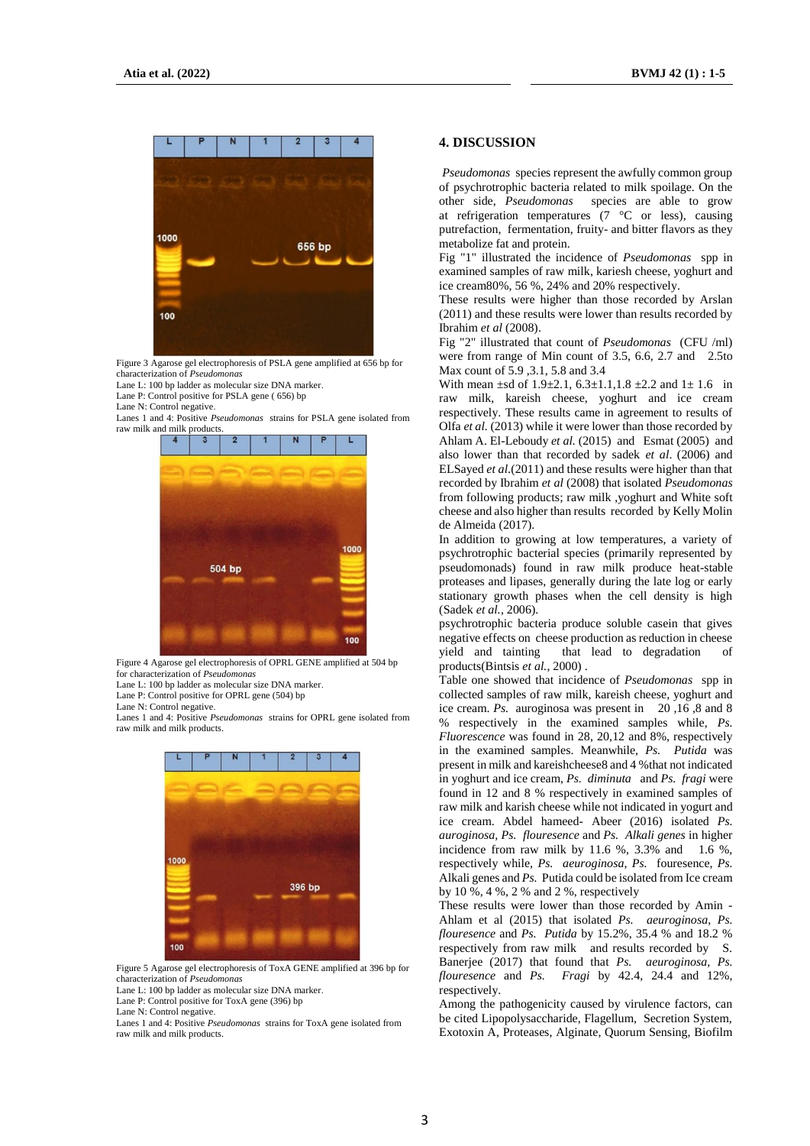

Figure 3 Agarose gel electrophoresis of PSLA gene amplified at 656 bp for characterization of *Pseudomonas* 

Lane L: 100 bp ladder as molecular size DNA marker.

Lane P: Control positive for PSLA gene ( 656) bp

Lane N: Control negative.

Lanes 1 and 4: Positive *Pseudomonas* strains for PSLA gene isolated from raw milk and milk products.



Figure 4 Agarose gel electrophoresis of OPRL GENE amplified at 504 bp for characterization of *Pseudomonas* 

Lane L: 100 bp ladder as molecular size DNA marker.

Lane P: Control positive for OPRL gene (504) bp

Lane N: Control negative.

Lanes 1 and 4: Positive *Pseudomonas* strains for OPRL gene isolated from raw milk and milk products.



Figure 5 Agarose gel electrophoresis of ToxA GENE amplified at 396 bp for characterization of *Pseudomonas* 

Lane L: 100 bp ladder as molecular size DNA marker.

Lane P: Control positive for ToxA gene (396) bp

Lane N: Control negative.

Lanes 1 and 4: Positive *Pseudomonas* strains for ToxA gene isolated from raw milk and milk products.

#### **4. DISCUSSION**

*[Pseudomonas](https://www.sciencedirect.com/topics/agricultural-and-biological-sciences/pseudomonas)* species represent the awfully common group of psychrotrophic bacteria related to milk spoilage. On the other side, *Pseudomonas* species are able to grow at [refrigeration](https://www.sciencedirect.com/topics/agricultural-and-biological-sciences/refrigeration) temperatures (7 °C or less), causing putrefaction, fermentation, fruity- and bitter flavors as they metabolize fat and protein.

Fig "1" illustrated the incidence of *Pseudomonas* spp in examined samples of raw milk, kariesh cheese, yoghurt and ice cream80%, 56 %, 24% and 20% respectively.

These results were higher than those recorded by Arslan (2011) and these results were lower than results recorded by Ibrahim *et al* (2008).

Fig "2" illustrated that count of *Pseudomonas* (CFU /ml) were from range of Min count of 3.5, 6.6, 2.7 and 2.5to Max count of 5.9 ,3.1, 5.8 and 3.4

With mean  $\pm$ sd of 1.9 $\pm$ 2.1, 6.3 $\pm$ 1.1, 1.8  $\pm$ 2.2 and 1 $\pm$  1.6 in raw milk, kareish cheese, yoghurt and ice cream respectively. These results came in agreement to results of Olfa *et al.* (2013) while it were lower than those recorded by Ahlam A. El-Leboudy *et al.* (2015) and Esmat (2005) and also lower than that recorded by sadek *et al*. (2006) and ELSayed *et al*.(2011) and these results were higher than that recorded by Ibrahim *et al* (2008) that isolated *Pseudomonas*  from following products; raw milk ,yoghurt and White soft cheese and also higher than results recorded by Kelly Molin de Almeida (2017).

In addition to growing at low temperatures, a variety of psychrotrophic bacterial species (primarily represented by pseudomonads) found in raw milk produce heat-stable proteases and lipases, generally during the late log or early stationary growth phases when the cell density is high (Sadek *et al.,* 2006).

psychrotrophic bacteria produce soluble casein that gives negative effects on cheese production as reduction in cheese yield and tainting that lead to degradation of products(Bintsis *et al.*, 2000) .

Table one showed that incidence of *Pseudomonas* spp in collected samples of raw milk, kareish cheese, yoghurt and ice cream. *Ps.* auroginosa was present in 20 ,16 ,8 and 8 % respectively in the examined samples while, *Ps. Fluorescence* was found in 28, 20,12 and 8%, respectively in the examined samples. Meanwhile, *Ps. Putida* was present in milk and kareishcheese8 and 4 %that not indicated in yoghurt and ice cream, *Ps. diminuta* and *Ps. fragi* were found in 12 and 8 % respectively in examined samples of raw milk and karish cheese while not indicated in yogurt and ice cream. Abdel hameed- Abeer (2016) isolated *Ps. auroginosa, Ps. flouresence* and *Ps. Alkali genes* in higher incidence from raw milk by 11.6 %,  $3.3\%$  and 1.6 %, respectively while, *Ps. aeuroginosa*, *Ps.* fouresence, *Ps.*  Alkali genes and *Ps.* Putida could be isolated from Ice cream by 10 %, 4 %, 2 % and 2 %, respectively

These results were lower than those recorded by Amin - Ahlam et al (2015) that isolated *Ps. aeuroginosa*, *Ps. flouresence* and *Ps. Putida* by 15.2%, 35.4 % and 18.2 % respectively from raw milk and results recorded by S. Banerjee (2017) that found that *Ps. aeuroginosa, Ps. flouresence* and *Ps. Fragi* by 42.4, 24.4 and 12%, respectively.

Among the pathogenicity caused by virulence factors, can be cited Lipopolysaccharide, Flagellum, Secretion System, Exotoxin A, Proteases, Alginate, Quorum Sensing, Biofilm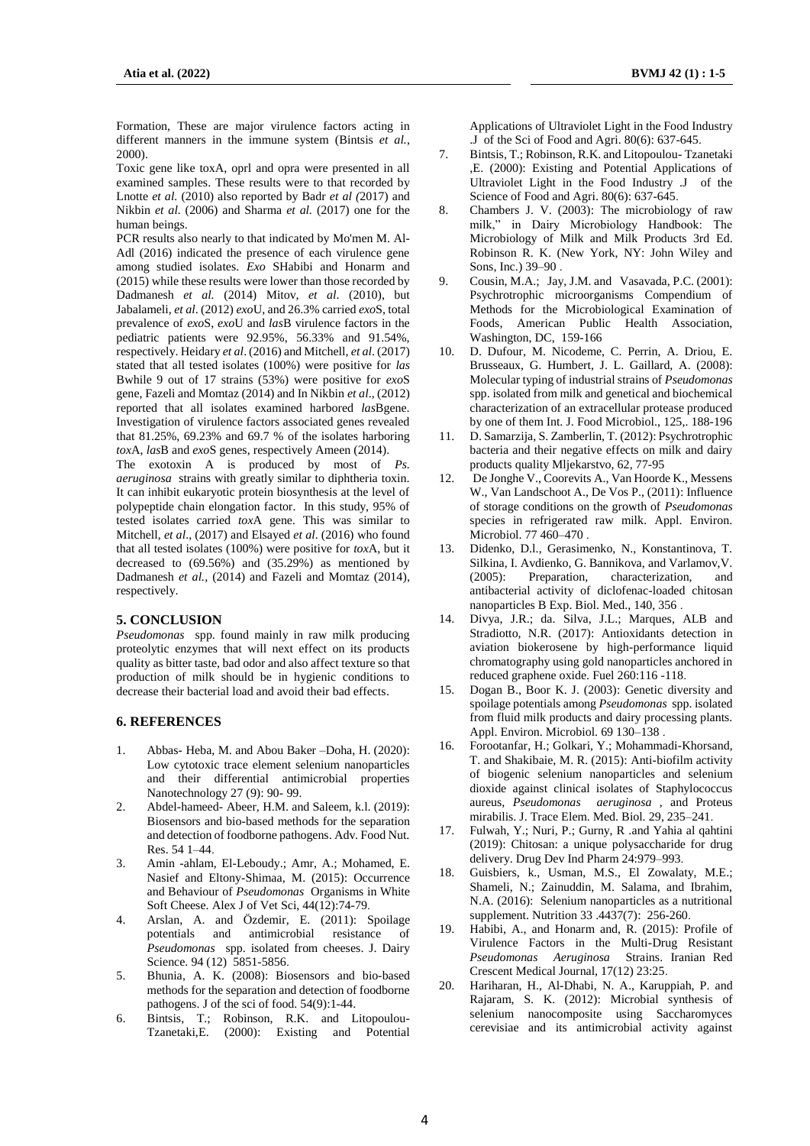Formation, These are major virulence factors acting in different manners in the immune system (Bintsis *et al.*, 2000).

Toxic gene like toxA, oprl and opra were presented in all examined samples. These results were to that recorded by Lnotte *et al.* (2010) also reported by Badr *et al (*2017) and Nikbin *et al.* (2006) and Sharma *et al.* (2017) one for the human beings.

PCR results also nearly to that indicated by Mo'men M. Al-Adl (2016) indicated the presence of each virulence gene among studied isolates. *Exo* SHabibi and Honarm and (2015) while these results were lower than those recorded by Dadmanesh *et al.* (2014) Mitov, *et al*. (2010), but Jabalameli*, et al*. (2012) *exo*U, and 26.3% carried *exo*S, total prevalence of *exo*S, *exo*U and *las*B virulence factors in the pediatric patients were 92.95%, 56.33% and 91.54%, respectively. Heidary *et al*. (2016) and Mitchell, *et al*. (2017) stated that all tested isolates (100%) were positive for *las* Bwhile 9 out of 17 strains (53%) were positive for *exo*S gene, Fazeli and Momtaz (2014) and In Nikbin *et al*., (2012) reported that all isolates examined harbored *las*Bgene. Investigation of virulence factors associated genes revealed that 81.25%, 69.23% and 69.7 % of the isolates harboring *tox*A, *las*B and *exo*S genes, respectively Ameen (2014).

The exotoxin A is produced by most of *Ps. aeruginosa* strains with greatly similar to diphtheria toxin. It can inhibit eukaryotic protein biosynthesis at the level of polypeptide chain elongation factor. In this study, 95% of tested isolates carried *tox*A gene. This was similar to Mitchell, *et al*., (2017) and Elsayed *et al*. (2016) who found that all tested isolates (100%) were positive for *tox*A, but it decreased to  $(69.56%)$  and  $(35.29%)$  as mentioned by Dadmanesh *et al.,* (2014) and Fazeli and Momtaz (2014), respectively.

## **5. CONCLUSION**

*Pseudomonas* spp. found mainly in raw milk producing proteolytic enzymes that will next effect on its products quality as bitter taste, bad odor and also affect texture so that production of milk should be in hygienic conditions to decrease their bacterial load and avoid their bad effects.

# **6. REFERENCES**

- 1. Abbas- Heba, M. and Abou Baker –Doha, H. (2020): Low cytotoxic trace element selenium nanoparticles and their differential antimicrobial properties Nanotechnology 27 (9): 90- 99.
- 2. Abdel-hameed- Abeer, H.M. and Saleem, k.l. (2019): Biosensors and bio-based methods for the separation and detection of foodborne pathogens. Adv. Food Nut. Res. 54 1–44.
- 3. Amin -ahlam, El-Leboudy.; Amr, A.; Mohamed, E. Nasief and Eltony-Shimaa, M. (2015): Occurrence and Behaviour of *Pseudomonas* Organisms in White Soft Cheese. Alex J of Vet Sci, 44(12):74-79.
- 4. Arslan, A. and Özdemir, E. (2011): Spoilage potentials and antimicrobial resistance of *Pseudomonas* spp. isolated from cheeses. J. Dairy Science. 94 (12) 5851-5856.
- 5. Bhunia, A. K. (2008): Biosensors and bio-based methods for the separation and detection of foodborne pathogens. J of the sci of food. 54(9):1-44.
- 6. Bintsis, T.; Robinson, R.K. and Litopoulou-Tzanetaki,E. (2000): Existing and Potential

Applications of Ultraviolet Light in the Food Industry .J of the Sci of Food and Agri. 80(6): 637-645.

- 7. Bintsis, T.; Robinson, R.K. and Litopoulou- Tzanetaki ,E. (2000): Existing and Potential Applications of Ultraviolet Light in the Food Industry .J of the Science of Food and Agri. 80(6): 637-645.
- 8. Chambers J. V. (2003): The microbiology of raw milk," in Dairy Microbiology Handbook: The Microbiology of Milk and Milk Products 3rd Ed. Robinson R. K. (New York, NY: John Wiley and Sons, Inc.) 39–90 .
- 9. Cousin, M.A.; Jay, J.M. and Vasavada, P.C. (2001): Psychrotrophic microorganisms Compendium of Methods for the Microbiological Examination of Foods, American Public Health Association, Washington, DC, 159-166
- 10. D. Dufour, M. Nicodeme, C. Perrin, A. Driou, E. Brusseaux, G. Humbert, J. L. Gaillard, A. (2008): Molecular typing of industrial strains of *Pseudomonas*  spp. isolated from milk and genetical and biochemical characterization of an extracellular protease produced by one of them Int. J. Food Microbiol., 125,. 188-196
- 11. D. Samarzija, S. Zamberlin, T. (2012): Psychrotrophic bacteria and their negative effects on milk and dairy products quality Mljekarstvo, 62, 77-95
- 12. De Jonghe V., Coorevits A., Van Hoorde K., Messens W., Van Landschoot A., De Vos P., (2011): Influence of storage conditions on the growth of *Pseudomonas*  species in refrigerated raw milk. Appl. Environ. Microbiol. 77 460–470 .
- 13. Didenko, D.l., Gerasimenko, N., Konstantinova, T. Silkina, I. Avdienko, G. Bannikova, and Varlamov,V. (2005): Preparation, characterization, and antibacterial activity of diclofenac-loaded chitosan nanoparticles B Exp. Biol. Med., 140, 356 .
- 14. Divya, J.R.; da. Silva, J.L.; Marques, ALB and Stradiotto, N.R. (2017): Antioxidants detection in aviation biokerosene by high-performance liquid chromatography using gold nanoparticles anchored in reduced graphene oxide. Fuel 260:116 -118.
- 15. Dogan B., Boor K. J. (2003): Genetic diversity and spoilage potentials among *Pseudomonas* spp. isolated from fluid milk products and dairy processing plants. Appl. Environ. Microbiol. 69 130–138 .
- 16. Forootanfar, H.; Golkari, Y.; Mohammadi-Khorsand, T. and Shakibaie, M. R. (2015): Anti-biofilm activity of biogenic selenium nanoparticles and selenium dioxide against clinical isolates of Staphylococcus aureus, *Pseudomonas aeruginosa* , and Proteus mirabilis. J. Trace Elem. Med. Biol. 29, 235–241.
- 17. Fulwah, Y.; Nuri, P.; Gurny, R .and Yahia al qahtini (2019): Chitosan: a unique polysaccharide for drug delivery. Drug Dev Ind Pharm 24:979–993.
- 18. Guisbiers, k., Usman, M.S., El Zowalaty, M.E.; Shameli, N.; Zainuddin, M. Salama, and Ibrahim, N.A. (2016): Selenium nanoparticles as a nutritional supplement. Nutrition 33 .4437(7): 256-260.
- 19. Habibi, A., and Honarm and, R. (2015): Profile of Virulence Factors in the Multi-Drug Resistant *Pseudomonas Aeruginosa* Strains. Iranian Red Crescent Medical Journal, 17(12) 23:25.
- 20. Hariharan, H., Al-Dhabi, N. A., Karuppiah, P. and Rajaram, S. K. (2012): Microbial synthesis of selenium nanocomposite using Saccharomyces cerevisiae and its antimicrobial activity against